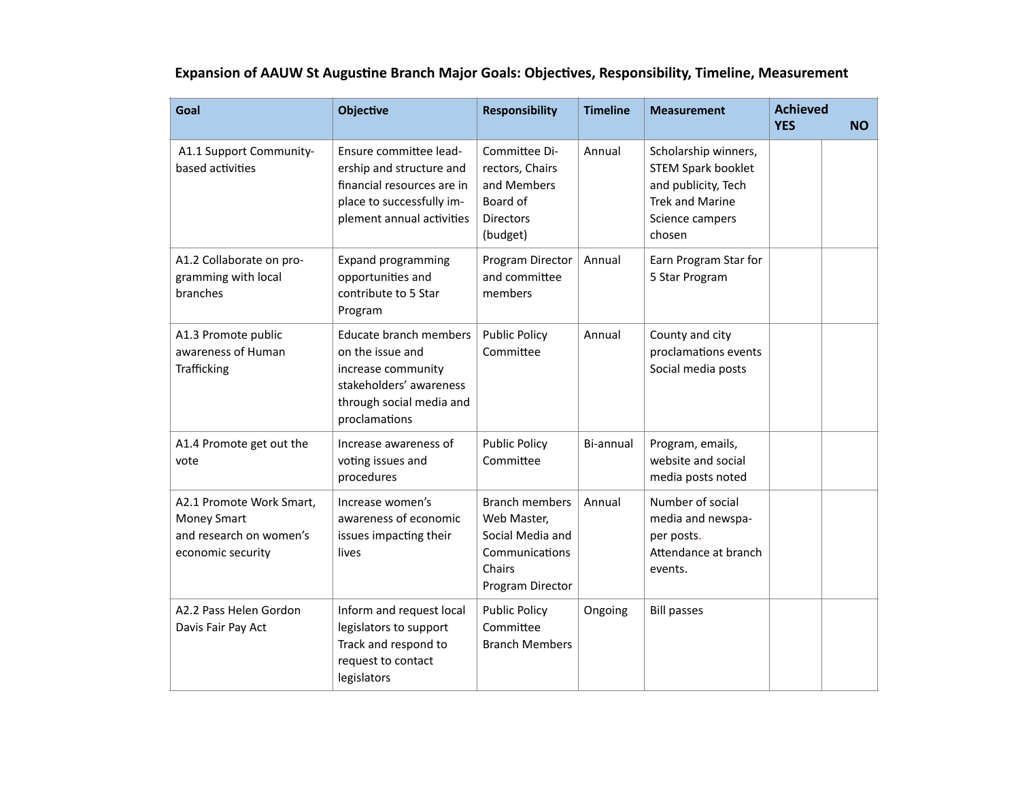| Goal                                                                                           | <b>Objective</b>                                                                                                                                | <b>Responsibility</b>                                                                                    | <b>Timeline</b> | <b>Measurement</b>                                                                                                              | <b>Achieved</b><br><b>YES</b> | <b>NO</b> |
|------------------------------------------------------------------------------------------------|-------------------------------------------------------------------------------------------------------------------------------------------------|----------------------------------------------------------------------------------------------------------|-----------------|---------------------------------------------------------------------------------------------------------------------------------|-------------------------------|-----------|
| A1.1 Support Community-<br>based activities                                                    | Ensure committee lead-<br>ership and structure and<br>financial resources are in<br>place to successfully im-<br>plement annual activities      | Committee Di-<br>rectors, Chairs<br>and Members<br>Board of<br><b>Directors</b><br>(budget)              | Annual          | Scholarship winners,<br><b>STEM Spark booklet</b><br>and publicity, Tech<br><b>Trek and Marine</b><br>Science campers<br>chosen |                               |           |
| A1.2 Collaborate on pro-<br>gramming with local<br>branches                                    | <b>Expand programming</b><br>opportunities and<br>contribute to 5 Star<br>Program                                                               | Program Director<br>and committee<br>members                                                             | Annual          | Earn Program Star for<br>5 Star Program                                                                                         |                               |           |
| A1.3 Promote public<br>awareness of Human<br>Trafficking                                       | <b>Educate branch members</b><br>on the issue and<br>increase community<br>stakeholders' awareness<br>through social media and<br>proclamations | <b>Public Policy</b><br>Committee                                                                        | Annual          | County and city<br>proclamations events<br>Social media posts                                                                   |                               |           |
| A1.4 Promote get out the<br>vote                                                               | Increase awareness of<br>voting issues and<br>procedures                                                                                        | <b>Public Policy</b><br>Committee                                                                        | Bi-annual       | Program, emails,<br>website and social<br>media posts noted                                                                     |                               |           |
| A2.1 Promote Work Smart,<br><b>Money Smart</b><br>and research on women's<br>economic security | Increase women's<br>awareness of economic<br>issues impacting their<br>lives                                                                    | <b>Branch members</b><br>Web Master,<br>Social Media and<br>Communications<br>Chairs<br>Program Director | Annual          | Number of social<br>media and newspa-<br>per posts.<br>Attendance at branch<br>events.                                          |                               |           |
| A2.2 Pass Helen Gordon<br>Davis Fair Pay Act                                                   | Inform and request local<br>legislators to support<br>Track and respond to<br>request to contact<br>legislators                                 | <b>Public Policy</b><br>Committee<br><b>Branch Members</b>                                               | Ongoing         | <b>Bill passes</b>                                                                                                              |                               |           |

## **Expansion of AAUW St Augustine Branch Major Goals: Objectives, Responsibility, Timeline, Measurement**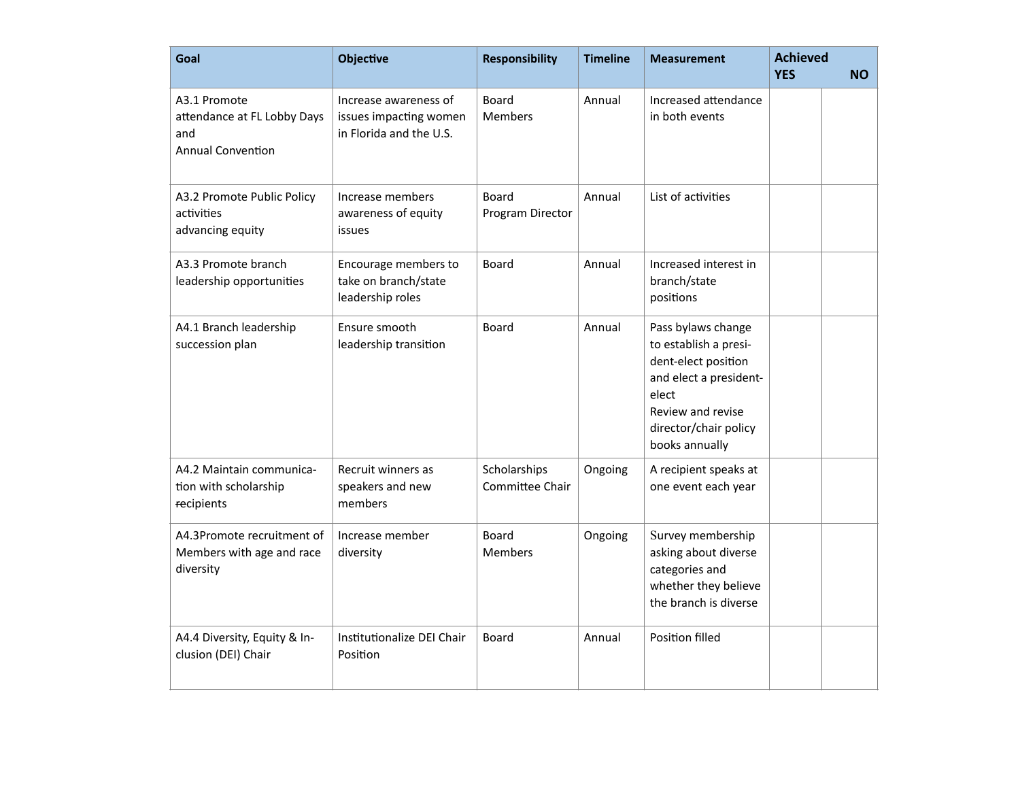| Goal                                                                           | <b>Objective</b>                                                           | <b>Responsibility</b>            | <b>Timeline</b> | <b>Measurement</b>                                                                                                                                                    | <b>Achieved</b><br><b>YES</b> | <b>NO</b> |
|--------------------------------------------------------------------------------|----------------------------------------------------------------------------|----------------------------------|-----------------|-----------------------------------------------------------------------------------------------------------------------------------------------------------------------|-------------------------------|-----------|
| A3.1 Promote<br>attendance at FL Lobby Days<br>and<br><b>Annual Convention</b> | Increase awareness of<br>issues impacting women<br>in Florida and the U.S. | Board<br><b>Members</b>          | Annual          | Increased attendance<br>in both events                                                                                                                                |                               |           |
| A3.2 Promote Public Policy<br>activities<br>advancing equity                   | Increase members<br>awareness of equity<br>issues                          | <b>Board</b><br>Program Director | Annual          | List of activities                                                                                                                                                    |                               |           |
| A3.3 Promote branch<br>leadership opportunities                                | Encourage members to<br>take on branch/state<br>leadership roles           | Board                            | Annual          | Increased interest in<br>branch/state<br>positions                                                                                                                    |                               |           |
| A4.1 Branch leadership<br>succession plan                                      | Ensure smooth<br>leadership transition                                     | Board                            | Annual          | Pass bylaws change<br>to establish a presi-<br>dent-elect position<br>and elect a president-<br>elect<br>Review and revise<br>director/chair policy<br>books annually |                               |           |
| A4.2 Maintain communica-<br>tion with scholarship<br>recipients                | Recruit winners as<br>speakers and new<br>members                          | Scholarships<br>Committee Chair  | Ongoing         | A recipient speaks at<br>one event each year                                                                                                                          |                               |           |
| A4.3Promote recruitment of<br>Members with age and race<br>diversity           | Increase member<br>diversity                                               | Board<br><b>Members</b>          | Ongoing         | Survey membership<br>asking about diverse<br>categories and<br>whether they believe<br>the branch is diverse                                                          |                               |           |
| A4.4 Diversity, Equity & In-<br>clusion (DEI) Chair                            | Institutionalize DEI Chair<br>Position                                     | <b>Board</b>                     | Annual          | <b>Position filled</b>                                                                                                                                                |                               |           |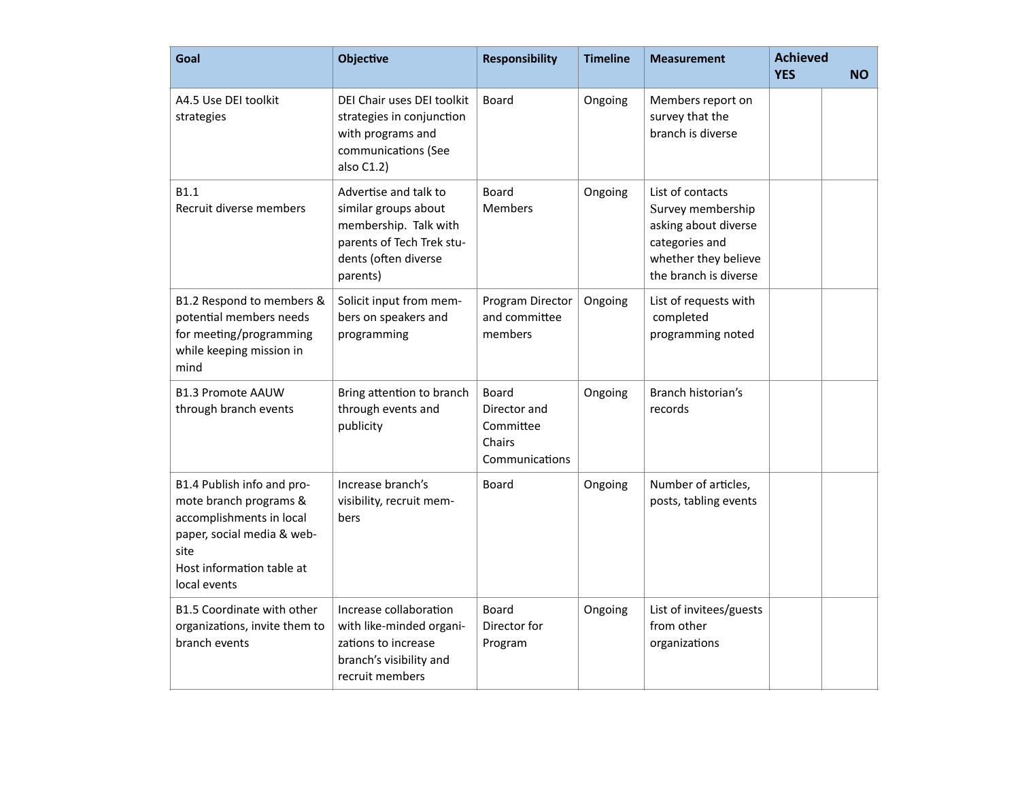| Goal                                                                                                                                                                | <b>Objective</b>                                                                                                                        | <b>Responsibility</b>                                          | <b>Timeline</b> | <b>Measurement</b>                                                                                                               | <b>Achieved</b><br><b>YES</b> | <b>NO</b> |
|---------------------------------------------------------------------------------------------------------------------------------------------------------------------|-----------------------------------------------------------------------------------------------------------------------------------------|----------------------------------------------------------------|-----------------|----------------------------------------------------------------------------------------------------------------------------------|-------------------------------|-----------|
| A4.5 Use DEI toolkit<br>strategies                                                                                                                                  | DEI Chair uses DEI toolkit<br>strategies in conjunction<br>with programs and<br>communications (See<br>also C1.2)                       | Board                                                          | Ongoing         | Members report on<br>survey that the<br>branch is diverse                                                                        |                               |           |
| <b>B1.1</b><br>Recruit diverse members                                                                                                                              | Advertise and talk to<br>similar groups about<br>membership. Talk with<br>parents of Tech Trek stu-<br>dents (often diverse<br>parents) | <b>Board</b><br><b>Members</b>                                 | Ongoing         | List of contacts<br>Survey membership<br>asking about diverse<br>categories and<br>whether they believe<br>the branch is diverse |                               |           |
| B1.2 Respond to members &<br>potential members needs<br>for meeting/programming<br>while keeping mission in<br>mind                                                 | Solicit input from mem-<br>bers on speakers and<br>programming                                                                          | Program Director<br>and committee<br>members                   | Ongoing         | List of requests with<br>completed<br>programming noted                                                                          |                               |           |
| <b>B1.3 Promote AAUW</b><br>through branch events                                                                                                                   | Bring attention to branch<br>through events and<br>publicity                                                                            | Board<br>Director and<br>Committee<br>Chairs<br>Communications | Ongoing         | Branch historian's<br>records                                                                                                    |                               |           |
| B1.4 Publish info and pro-<br>mote branch programs &<br>accomplishments in local<br>paper, social media & web-<br>site<br>Host information table at<br>local events | Increase branch's<br>visibility, recruit mem-<br>bers                                                                                   | Board                                                          | Ongoing         | Number of articles,<br>posts, tabling events                                                                                     |                               |           |
| B1.5 Coordinate with other<br>organizations, invite them to<br>branch events                                                                                        | Increase collaboration<br>with like-minded organi-<br>zations to increase<br>branch's visibility and<br>recruit members                 | <b>Board</b><br>Director for<br>Program                        | Ongoing         | List of invitees/guests<br>from other<br>organizations                                                                           |                               |           |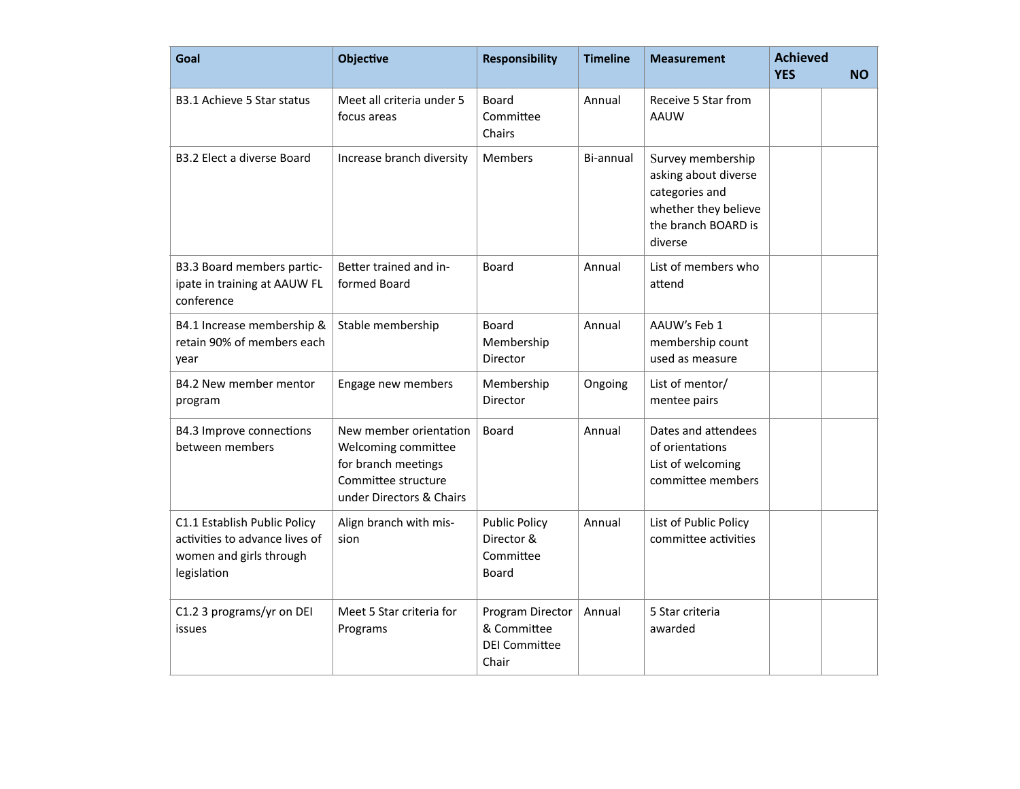| Goal                                                                                                     | <b>Objective</b>                                                                                                        | <b>Responsibility</b>                                            | <b>Timeline</b> | <b>Measurement</b>                                                                                                    | <b>Achieved</b><br><b>YES</b> | <b>NO</b> |
|----------------------------------------------------------------------------------------------------------|-------------------------------------------------------------------------------------------------------------------------|------------------------------------------------------------------|-----------------|-----------------------------------------------------------------------------------------------------------------------|-------------------------------|-----------|
| B3.1 Achieve 5 Star status                                                                               | Meet all criteria under 5<br>focus areas                                                                                | Board<br>Committee<br>Chairs                                     | Annual          | Receive 5 Star from<br><b>AAUW</b>                                                                                    |                               |           |
| <b>B3.2 Elect a diverse Board</b>                                                                        | Increase branch diversity                                                                                               | Members                                                          | Bi-annual       | Survey membership<br>asking about diverse<br>categories and<br>whether they believe<br>the branch BOARD is<br>diverse |                               |           |
| B3.3 Board members partic-<br>ipate in training at AAUW FL<br>conference                                 | Better trained and in-<br>formed Board                                                                                  | Board                                                            | Annual          | List of members who<br>attend                                                                                         |                               |           |
| B4.1 Increase membership &<br>retain 90% of members each<br>year                                         | Stable membership                                                                                                       | <b>Board</b><br>Membership<br>Director                           | Annual          | AAUW's Feb 1<br>membership count<br>used as measure                                                                   |                               |           |
| B4.2 New member mentor<br>program                                                                        | Engage new members                                                                                                      | Membership<br>Director                                           | Ongoing         | List of mentor/<br>mentee pairs                                                                                       |                               |           |
| B4.3 Improve connections<br>between members                                                              | New member orientation<br>Welcoming committee<br>for branch meetings<br>Committee structure<br>under Directors & Chairs | Board                                                            | Annual          | Dates and attendees<br>of orientations<br>List of welcoming<br>committee members                                      |                               |           |
| C1.1 Establish Public Policy<br>activities to advance lives of<br>women and girls through<br>legislation | Align branch with mis-<br>sion                                                                                          | <b>Public Policy</b><br>Director &<br>Committee<br>Board         | Annual          | List of Public Policy<br>committee activities                                                                         |                               |           |
| C1.2 3 programs/yr on DEI<br>issues                                                                      | Meet 5 Star criteria for<br>Programs                                                                                    | Program Director<br>& Committee<br><b>DEI Committee</b><br>Chair | Annual          | 5 Star criteria<br>awarded                                                                                            |                               |           |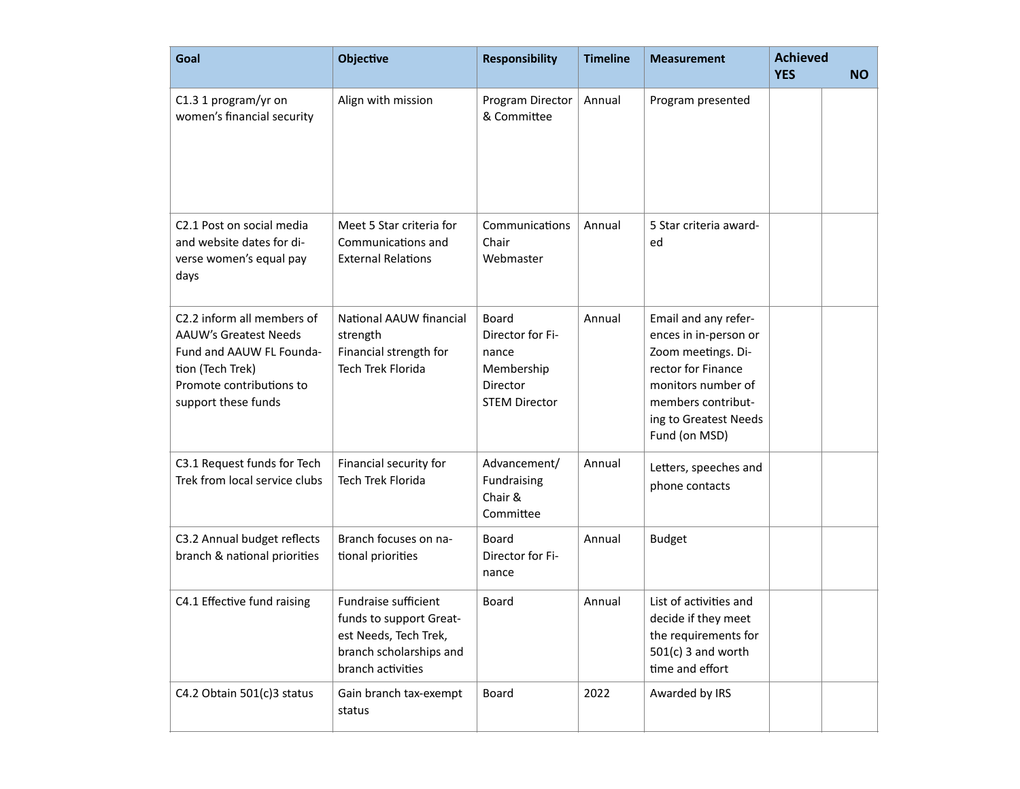| Goal                                                                                                                                                          | <b>Objective</b>                                                                                                         | <b>Responsibility</b>                                                                       | <b>Timeline</b> | <b>Measurement</b>                                                                                                                                                              | <b>Achieved</b><br><b>YES</b> | <b>NO</b> |
|---------------------------------------------------------------------------------------------------------------------------------------------------------------|--------------------------------------------------------------------------------------------------------------------------|---------------------------------------------------------------------------------------------|-----------------|---------------------------------------------------------------------------------------------------------------------------------------------------------------------------------|-------------------------------|-----------|
| C1.3 1 program/yr on<br>women's financial security                                                                                                            | Align with mission                                                                                                       | Program Director<br>& Committee                                                             | Annual          | Program presented                                                                                                                                                               |                               |           |
| C2.1 Post on social media<br>and website dates for di-<br>verse women's equal pay<br>days                                                                     | Meet 5 Star criteria for<br>Communications and<br><b>External Relations</b>                                              | Communications<br>Chair<br>Webmaster                                                        | Annual          | 5 Star criteria award-<br>ed                                                                                                                                                    |                               |           |
| C2.2 inform all members of<br><b>AAUW's Greatest Needs</b><br>Fund and AAUW FL Founda-<br>tion (Tech Trek)<br>Promote contributions to<br>support these funds | National AAUW financial<br>strength<br>Financial strength for<br><b>Tech Trek Florida</b>                                | <b>Board</b><br>Director for Fi-<br>nance<br>Membership<br>Director<br><b>STEM Director</b> | Annual          | Email and any refer-<br>ences in in-person or<br>Zoom meetings. Di-<br>rector for Finance<br>monitors number of<br>members contribut-<br>ing to Greatest Needs<br>Fund (on MSD) |                               |           |
| C3.1 Request funds for Tech<br>Trek from local service clubs                                                                                                  | Financial security for<br>Tech Trek Florida                                                                              | Advancement/<br>Fundraising<br>Chair &<br>Committee                                         | Annual          | Letters, speeches and<br>phone contacts                                                                                                                                         |                               |           |
| C3.2 Annual budget reflects<br>branch & national priorities                                                                                                   | Branch focuses on na-<br>tional priorities                                                                               | <b>Board</b><br>Director for Fi-<br>nance                                                   | Annual          | <b>Budget</b>                                                                                                                                                                   |                               |           |
| C4.1 Effective fund raising                                                                                                                                   | Fundraise sufficient<br>funds to support Great-<br>est Needs, Tech Trek,<br>branch scholarships and<br>branch activities | <b>Board</b>                                                                                | Annual          | List of activities and<br>decide if they meet<br>the requirements for<br>$501(c)$ 3 and worth<br>time and effort                                                                |                               |           |
| C4.2 Obtain 501(c)3 status                                                                                                                                    | Gain branch tax-exempt<br>status                                                                                         | Board                                                                                       | 2022            | Awarded by IRS                                                                                                                                                                  |                               |           |